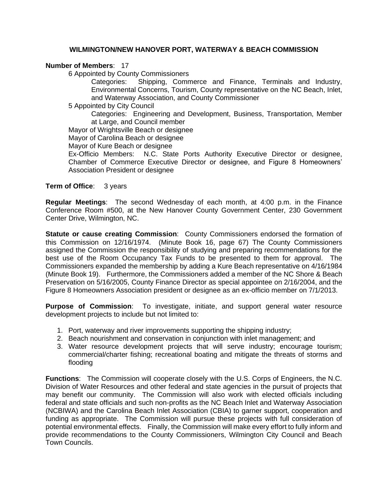### **WILMINGTON/NEW HANOVER PORT, WATERWAY & BEACH COMMISSION**

#### **Number of Members**: 17

6 Appointed by County Commissioners

Categories: Shipping, Commerce and Finance, Terminals and Industry, Environmental Concerns, Tourism, County representative on the NC Beach, Inlet, and Waterway Association, and County Commissioner

5 Appointed by City Council

Categories: Engineering and Development, Business, Transportation, Member at Large, and Council member

Mayor of Wrightsville Beach or designee

Mayor of Carolina Beach or designee

Mayor of Kure Beach or designee

Ex-Officio Members: N.C. State Ports Authority Executive Director or designee, Chamber of Commerce Executive Director or designee, and Figure 8 Homeowners' Association President or designee

**Term of Office:** 3 years

**Regular Meetings**: The second Wednesday of each month, at 4:00 p.m. in the Finance Conference Room #500, at the New Hanover County Government Center, 230 Government Center Drive, Wilmington, NC.

**Statute or cause creating Commission**: County Commissioners endorsed the formation of this Commission on 12/16/1974. (Minute Book 16, page 67) The County Commissioners assigned the Commission the responsibility of studying and preparing recommendations for the best use of the Room Occupancy Tax Funds to be presented to them for approval. The Commissioners expanded the membership by adding a Kure Beach representative on 4/16/1984 (Minute Book 19). Furthermore, the Commissioners added a member of the NC Shore & Beach Preservation on 5/16/2005, County Finance Director as special appointee on 2/16/2004, and the Figure 8 Homeowners Association president or designee as an ex-officio member on 7/1/2013.

**Purpose of Commission**: To investigate, initiate, and support general water resource development projects to include but not limited to:

- 1. Port, waterway and river improvements supporting the shipping industry;
- 2. Beach nourishment and conservation in conjunction with inlet management; and
- 3. Water resource development projects that will serve industry; encourage tourism; commercial/charter fishing; recreational boating and mitigate the threats of storms and flooding

**Functions**: The Commission will cooperate closely with the U.S. Corps of Engineers, the N.C. Division of Water Resources and other federal and state agencies in the pursuit of projects that may benefit our community. The Commission will also work with elected officials including federal and state officials and such non-profits as the NC Beach Inlet and Waterway Association (NCBIWA) and the Carolina Beach Inlet Association (CBIA) to garner support, cooperation and funding as appropriate. The Commission will pursue these projects with full consideration of potential environmental effects. Finally, the Commission will make every effort to fully inform and provide recommendations to the County Commissioners, Wilmington City Council and Beach Town Councils.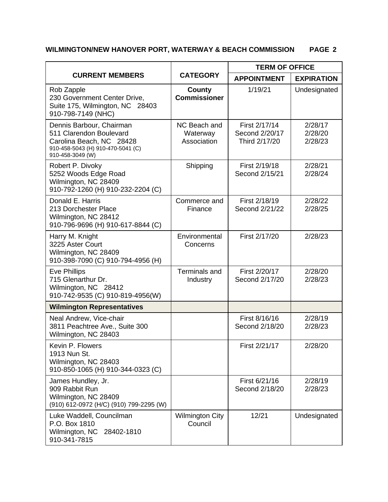# **WILMINGTON/NEW HANOVER PORT, WATERWAY & BEACH COMMISSION PAGE 2**

| <b>CURRENT MEMBERS</b>                                                                                                                   | <b>CATEGORY</b>                         | <b>TERM OF OFFICE</b>                            |                               |
|------------------------------------------------------------------------------------------------------------------------------------------|-----------------------------------------|--------------------------------------------------|-------------------------------|
|                                                                                                                                          |                                         | <b>APPOINTMENT</b>                               | <b>EXPIRATION</b>             |
| Rob Zapple<br>230 Government Center Drive,<br>Suite 175, Wilmington, NC 28403<br>910-798-7149 (NHC)                                      | <b>County</b><br><b>Commissioner</b>    | 1/19/21                                          | Undesignated                  |
| Dennis Barbour, Chairman<br>511 Clarendon Boulevard<br>Carolina Beach, NC 28428<br>910-458-5043 (H) 910-470-5041 (C)<br>910-458-3049 (W) | NC Beach and<br>Waterway<br>Association | First 2/17/14<br>Second 2/20/17<br>Third 2/17/20 | 2/28/17<br>2/28/20<br>2/28/23 |
| Robert P. Divoky<br>5252 Woods Edge Road<br>Wilmington, NC 28409<br>910-792-1260 (H) 910-232-2204 (C)                                    | Shipping                                | First 2/19/18<br>Second 2/15/21                  | 2/28/21<br>2/28/24            |
| Donald E. Harris<br>213 Dorchester Place<br>Wilmington, NC 28412<br>910-796-9696 (H) 910-617-8844 (C)                                    | Commerce and<br>Finance                 | First 2/18/19<br>Second 2/21/22                  | 2/28/22<br>2/28/25            |
| Harry M. Knight<br>3225 Aster Court<br>Wilmington, NC 28409<br>910-398-7090 (C) 910-794-4956 (H)                                         | Environmental<br>Concerns               | First 2/17/20                                    | 2/28/23                       |
| <b>Eve Phillips</b><br>715 Glenarthur Dr.<br>Wilmington, NC 28412<br>910-742-9535 (C) 910-819-4956(W)                                    | Terminals and<br>Industry               | First 2/20/17<br>Second 2/17/20                  | 2/28/20<br>2/28/23            |
| <b>Wilmington Representatives</b>                                                                                                        |                                         |                                                  |                               |
| Neal Andrew, Vice-chair<br>3811 Peachtree Ave., Suite 300<br>Wilmington, NC 28403                                                        |                                         | First 8/16/16<br>Second 2/18/20                  | 2/28/19<br>2/28/23            |
| Kevin P. Flowers<br>1913 Nun St.<br>Wilmington, NC 28403<br>910-850-1065 (H) 910-344-0323 (C)                                            |                                         | First 2/21/17                                    | 2/28/20                       |
| James Hundley, Jr.<br>909 Rabbit Run<br>Wilmington, NC 28409<br>(910) 612-0972 (H/C) (910) 799-2295 (W)                                  |                                         | First 6/21/16<br>Second 2/18/20                  | 2/28/19<br>2/28/23            |
| Luke Waddell, Councilman<br>P.O. Box 1810<br>Wilmington, NC<br>28402-1810<br>910-341-7815                                                | <b>Wilmington City</b><br>Council       | 12/21                                            | Undesignated                  |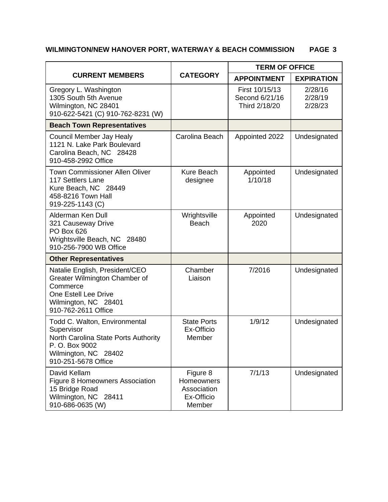# **WILMINGTON/NEW HANOVER PORT, WATERWAY & BEACH COMMISSION PAGE 3**

| <b>CURRENT MEMBERS</b>                                                                                                                               | <b>CATEGORY</b>                                               | <b>TERM OF OFFICE</b>                             |                               |
|------------------------------------------------------------------------------------------------------------------------------------------------------|---------------------------------------------------------------|---------------------------------------------------|-------------------------------|
|                                                                                                                                                      |                                                               | <b>APPOINTMENT</b>                                | <b>EXPIRATION</b>             |
| Gregory L. Washington<br>1305 South 5th Avenue<br>Wilmington, NC 28401<br>910-622-5421 (C) 910-762-8231 (W)                                          |                                                               | First 10/15/13<br>Second 6/21/16<br>Third 2/18/20 | 2/28/16<br>2/28/19<br>2/28/23 |
| <b>Beach Town Representatives</b>                                                                                                                    |                                                               |                                                   |                               |
| Council Member Jay Healy<br>1121 N. Lake Park Boulevard<br>Carolina Beach, NC 28428<br>910-458-2992 Office                                           | Carolina Beach                                                | Appointed 2022                                    | Undesignated                  |
| <b>Town Commissioner Allen Oliver</b><br>117 Settlers Lane<br>Kure Beach, NC 28449<br>458-8216 Town Hall<br>919-225-1143 (C)                         | Kure Beach<br>designee                                        | Appointed<br>1/10/18                              | Undesignated                  |
| Alderman Ken Dull<br>321 Causeway Drive<br>PO Box 626<br>Wrightsville Beach, NC 28480<br>910-256-7900 WB Office                                      | Wrightsville<br><b>Beach</b>                                  | Appointed<br>2020                                 | Undesignated                  |
| <b>Other Representatives</b>                                                                                                                         |                                                               |                                                   |                               |
| Natalie English, President/CEO<br>Greater Wilmington Chamber of<br>Commerce<br>One Estell Lee Drive<br>Wilmington, NC 28401<br>910-762-2611 Office   | Chamber<br>Liaison                                            | 7/2016                                            | Undesignated                  |
| Todd C. Walton, Environmental<br>Supervisor<br>North Carolina State Ports Authority<br>P. O. Box 9002<br>Wilmington, NC 28402<br>910-251-5678 Office | <b>State Ports</b><br>Ex-Officio<br>Member                    | 1/9/12                                            | Undesignated                  |
| David Kellam<br>Figure 8 Homeowners Association<br>15 Bridge Road<br>Wilmington, NC 28411<br>910-686-0635 (W)                                        | Figure 8<br>Homeowners<br>Association<br>Ex-Officio<br>Member | 7/1/13                                            | Undesignated                  |